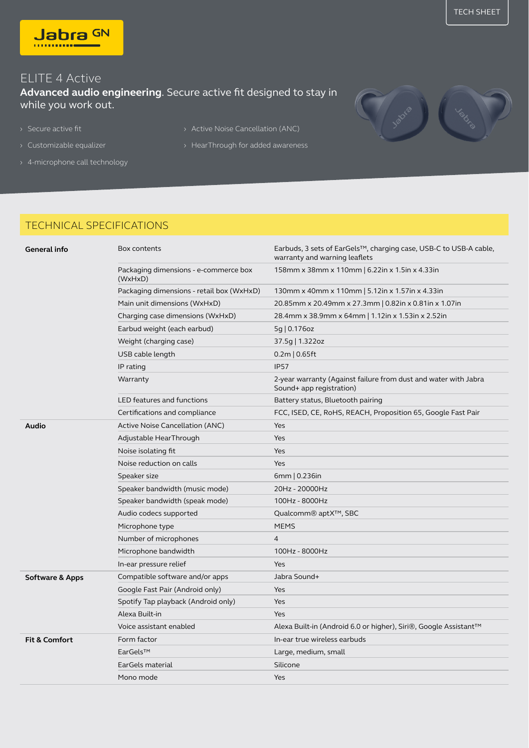

## ELITE 4 Active

**Advanced audio engineering**. Secure active fit designed to stay in while you work out.

- 
- 
- › 4-microphone call technology
- › Secure active fit › Active Noise Cancellation (ANC)
- > Customizable equalizer **business** > HearThrough for added awareness

## TECHNICAL SPECIFICATIONS

| General info               | Box contents                                     | Earbuds, 3 sets of EarGels™, charging case, USB-C to USB-A cable,<br>warranty and warning leaflets |  |
|----------------------------|--------------------------------------------------|----------------------------------------------------------------------------------------------------|--|
|                            | Packaging dimensions - e-commerce box<br>(WxHxD) | 158mm x 38mm x 110mm   6.22in x 1.5in x 4.33in                                                     |  |
|                            | Packaging dimensions - retail box (WxHxD)        | 130mm x 40mm x 110mm   5.12in x 1.57in x 4.33in                                                    |  |
|                            | Main unit dimensions (WxHxD)                     | 20.85mm x 20.49mm x 27.3mm   0.82in x 0.81in x 1.07in                                              |  |
|                            | Charging case dimensions (WxHxD)                 | 28.4mm x 38.9mm x 64mm   1.12in x 1.53in x 2.52in                                                  |  |
|                            | Earbud weight (each earbud)                      | 5g   0.176oz                                                                                       |  |
|                            | Weight (charging case)                           | 37.5g   1.322oz                                                                                    |  |
|                            | USB cable length                                 | $0.2m$   $0.65ft$                                                                                  |  |
|                            | IP rating                                        | <b>IP57</b>                                                                                        |  |
|                            | Warranty                                         | 2-year warranty (Against failure from dust and water with Jabra<br>Sound+ app registration)        |  |
|                            | LED features and functions                       | Battery status, Bluetooth pairing                                                                  |  |
|                            | Certifications and compliance                    | FCC, ISED, CE, RoHS, REACH, Proposition 65, Google Fast Pair                                       |  |
| Audio                      | Active Noise Cancellation (ANC)                  | Yes                                                                                                |  |
|                            | Adjustable HearThrough                           | Yes                                                                                                |  |
|                            | Noise isolating fit                              | Yes                                                                                                |  |
|                            | Noise reduction on calls                         | <b>Yes</b>                                                                                         |  |
|                            | Speaker size                                     | 6mm   0.236in                                                                                      |  |
|                            | Speaker bandwidth (music mode)                   | 20Hz - 20000Hz                                                                                     |  |
|                            | Speaker bandwidth (speak mode)                   | 100Hz - 8000Hz                                                                                     |  |
|                            | Audio codecs supported                           | Qualcomm® aptX™, SBC                                                                               |  |
|                            | Microphone type                                  | <b>MEMS</b>                                                                                        |  |
|                            | Number of microphones                            | 4                                                                                                  |  |
|                            | Microphone bandwidth                             | 100Hz - 8000Hz                                                                                     |  |
|                            | In-ear pressure relief                           | Yes                                                                                                |  |
| <b>Software &amp; Apps</b> | Compatible software and/or apps                  | Jabra Sound+                                                                                       |  |
|                            | Google Fast Pair (Android only)                  | <b>Yes</b>                                                                                         |  |
|                            | Spotify Tap playback (Android only)              | Yes                                                                                                |  |
|                            | Alexa Built-in                                   | Yes                                                                                                |  |
|                            | Voice assistant enabled                          | Alexa Built-in (Android 6.0 or higher), Siri®, Google Assistant™                                   |  |
| <b>Fit &amp; Comfort</b>   | Form factor                                      | In-ear true wireless earbuds                                                                       |  |
|                            | EarGels™                                         | Large, medium, small                                                                               |  |
|                            | EarGels material                                 | Silicone                                                                                           |  |
|                            | Mono mode                                        | <b>Yes</b>                                                                                         |  |